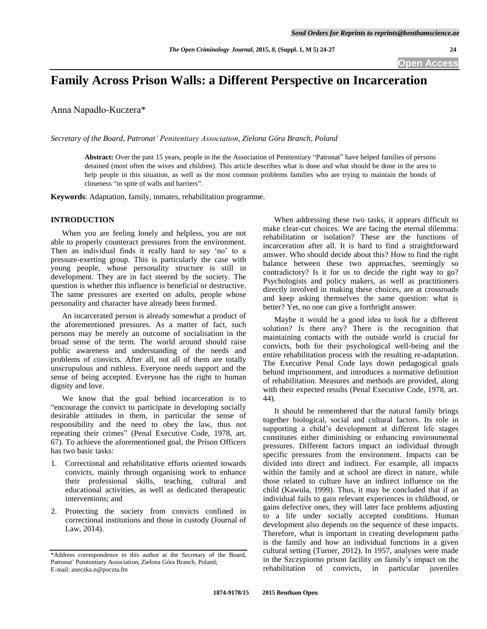# **Family Across Prison Walls: a Different Perspective on Incarceration**

Anna Napadło-Kuczera\*

*Secretary of the Board, Patronat' Penitentiary Association, Zielona Góra Branch, Poland*

**Abstract:** Over the past 15 years, people in the the Association of Penitentiary "Patronat" have helped families of persons detained (most often the wives and children). This article describes what is done and what should be done in the area to help people in this situation, as well as the most common problems families who are trying to maintain the bonds of closeness "in spite of walls and barriers".

**Keywords**: Adaptation, family, inmates, rehabilitation programme.

### **INTRODUCTION**

When you are feeling lonely and helpless, you are not able to properly counteract pressures from the environment. Then an individual finds it really hard to say 'no' to a pressure-exerting group. This is particularly the case with young people, whose personality structure is still in development. They are in fact steered by the society. The question is whether this influence is beneficial or destructive. The same pressures are exerted on adults, people whose personality and character have already been formed.

An incarcerated person is already somewhat a product of the aforementioned pressures. As a matter of fact, such persons may be merely an outcome of socialisation in the broad sense of the term. The world around should raise public awareness and understanding of the needs and problems of convicts. After all, not all of them are totally unscrupulous and ruthless. Everyone needs support and the sense of being accepted. Everyone has the right to human dignity and love.

We know that the goal behind incarceration is to "encourage the convict to participate in developing socially desirable attitudes in them, in particular the sense of responsibility and the need to obey the law, thus not repeating their crimes" (Penal Executive Code, 1978, art. 67). To achieve the aforementioned goal, the Prison Officers has two basic tasks:

- 1. Correctional and rehabilitative efforts oriented towards convicts, mainly through organising work to enhance their professional skills, teaching, cultural and educational activities, as well as dedicated therapeutic interventions; and
- 2. Protecting the society from convicts confined in correctional institutions and those in custody (Journal of Law, 2014).

When addressing these two tasks, it appears difficult to make clear-cut choices. We are facing the eternal dilemma: rehabilitation or isolation? These are the functions of incarceration after all. It is hard to find a straightforward answer. Who should decide about this? How to find the right balance between these two approaches, seemingly so contradictory? Is it for us to decide the right way to go? Psychologists and policy makers, as well as practitioners directly involved in making these choices, are at crossroads and keep asking themselves the same question: what is better? Yet, no one can give a forthright answer.

Maybe it would be a good idea to look for a different solution? Is there any? There is the recognition that maintaining contacts with the outside world is crucial for convicts, both for their psychological well-being and the entire rehabilitation process with the resulting re-adaptation. The Executive Penal Code lays down pedagogical goals behind imprisonment, and introduces a normative definition of rehabilitation. Measures and methods are provided, along with their expected results (Penal Executive Code, 1978, art. 44).

It should be remembered that the natural family brings together biological, social and cultural factors. Its role in supporting a child"s development at different life stages constitutes either diminishing or enhancing environmental pressures. Different factors impact an individual through specific pressures from the environment. Impacts can be divided into direct and indirect. For example, all impacts within the family and at school are direct in nature, while those related to culture have an indirect influence on the child (Kawula, 1999). Thus, it may be concluded that if an individual fails to gain relevant experiences in childhood, or gains defective ones, they will later face problems adjusting to a life under socially accepted conditions. Human development also depends on the sequence of these impacts. Therefore, what is important in creating development paths is the family and how an individual functions in a given cultural setting (Turner, 2012). In 1957, analyses were made in the Szczypiorno prison facility on family"s impact on the rehabilitation of convicts, in particular juveniles

<sup>\*</sup>Address correspondence to this author at the Secretary of the Board, Patronat" Penitentiary Association, Zielona Góra Branch, Poland; E-mail: aneczka.n@poczta.fm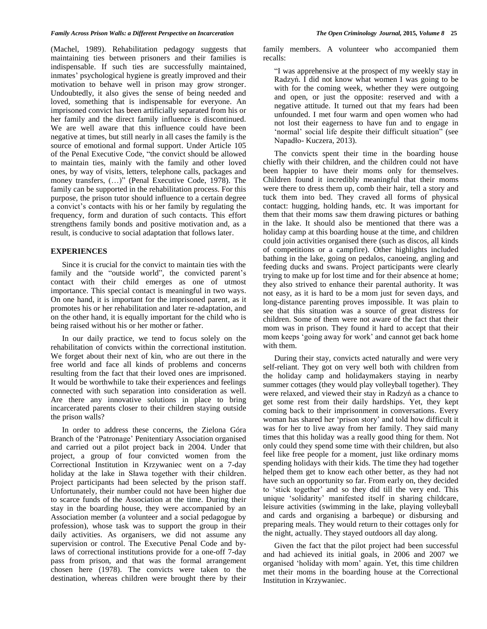(Machel, 1989). Rehabilitation pedagogy suggests that maintaining ties between prisoners and their families is indispensable. If such ties are successfully maintained, inmates' psychological hygiene is greatly improved and their motivation to behave well in prison may grow stronger. Undoubtedly, it also gives the sense of being needed and loved, something that is indispensable for everyone. An imprisoned convict has been artificially separated from his or her family and the direct family influence is discontinued. We are well aware that this influence could have been negative at times, but still nearly in all cases the family is the source of emotional and formal support. Under Article 105 of the Penal Executive Code, "the convict should be allowed to maintain ties, mainly with the family and other loved ones, by way of visits, letters, telephone calls, packages and money transfers, (…)" (Penal Executive Code, 1978). The family can be supported in the rehabilitation process. For this purpose, the prison tutor should influence to a certain degree a convict's contacts with his or her family by regulating the frequency, form and duration of such contacts. This effort strengthens family bonds and positive motivation and, as a result, is conducive to social adaptation that follows later.

## **EXPERIENCES**

Since it is crucial for the convict to maintain ties with the family and the "outside world", the convicted parent's contact with their child emerges as one of utmost importance. This special contact is meaningful in two ways. On one hand, it is important for the imprisoned parent, as it promotes his or her rehabilitation and later re-adaptation, and on the other hand, it is equally important for the child who is being raised without his or her mother or father.

In our daily practice, we tend to focus solely on the rehabilitation of convicts within the correctional institution. We forget about their next of kin, who are out there in the free world and face all kinds of problems and concerns resulting from the fact that their loved ones are imprisoned. It would be worthwhile to take their experiences and feelings connected with such separation into consideration as well. Are there any innovative solutions in place to bring incarcerated parents closer to their children staying outside the prison walls?

In order to address these concerns, the Zielona Góra Branch of the "Patronage" Penitentiary Association organised and carried out a pilot project back in 2004. Under that project, a group of four convicted women from the Correctional Institution in Krzywaniec went on a 7-day holiday at the lake in Sława together with their children. Project participants had been selected by the prison staff. Unfortunately, their number could not have been higher due to scarce funds of the Association at the time. During their stay in the boarding house, they were accompanied by an Association member (a volunteer and a social pedagogue by profession), whose task was to support the group in their daily activities. As organisers, we did not assume any supervision or control. The Executive Penal Code and bylaws of correctional institutions provide for a one-off 7-day pass from prison, and that was the formal arrangement chosen here (1978). The convicts were taken to the destination, whereas children were brought there by their

family members. A volunteer who accompanied them recalls:

"I was apprehensive at the prospect of my weekly stay in Radzyń. I did not know what women I was going to be with for the coming week, whether they were outgoing and open, or just the opposite: reserved and with a negative attitude. It turned out that my fears had been unfounded. I met four warm and open women who had not lost their eagerness to have fun and to engage in 'normal' social life despite their difficult situation" (see Napadło- Kuczera, 2013).

The convicts spent their time in the boarding house chiefly with their children, and the children could not have been happier to have their moms only for themselves. Children found it incredibly meaningful that their moms were there to dress them up, comb their hair, tell a story and tuck them into bed. They craved all forms of physical contact: hugging, holding hands, etc. It was important for them that their moms saw them drawing pictures or bathing in the lake. It should also be mentioned that there was a holiday camp at this boarding house at the time, and children could join activities organised there (such as discos, all kinds of competitions or a campfire). Other highlights included bathing in the lake, going on pedalos, canoeing, angling and feeding ducks and swans. Project participants were clearly trying to make up for lost time and for their absence at home; they also strived to enhance their parental authority. It was not easy, as it is hard to be a mom just for seven days, and long-distance parenting proves impossible. It was plain to see that this situation was a source of great distress for children. Some of them were not aware of the fact that their mom was in prison. They found it hard to accept that their mom keeps "going away for work" and cannot get back home with them.

During their stay, convicts acted naturally and were very self-reliant. They got on very well both with children from the holiday camp and holidaymakers staying in nearby summer cottages (they would play volleyball together). They were relaxed, and viewed their stay in Radzyń as a chance to get some rest from their daily hardships. Yet, they kept coming back to their imprisonment in conversations. Every woman has shared her "prison story" and told how difficult it was for her to live away from her family. They said many times that this holiday was a really good thing for them. Not only could they spend some time with their children, but also feel like free people for a moment, just like ordinary moms spending holidays with their kids. The time they had together helped them get to know each other better, as they had not have such an opportunity so far. From early on, they decided to "stick together" and so they did till the very end. This unique "solidarity" manifested itself in sharing childcare, leisure activities (swimming in the lake, playing volleyball and cards and organising a barbeque) or disbursing and preparing meals. They would return to their cottages only for the night, actually. They stayed outdoors all day along.

Given the fact that the pilot project had been successful and had achieved its initial goals, in 2006 and 2007 we organised "holiday with mom" again. Yet, this time children met their moms in the boarding house at the Correctional Institution in Krzywaniec.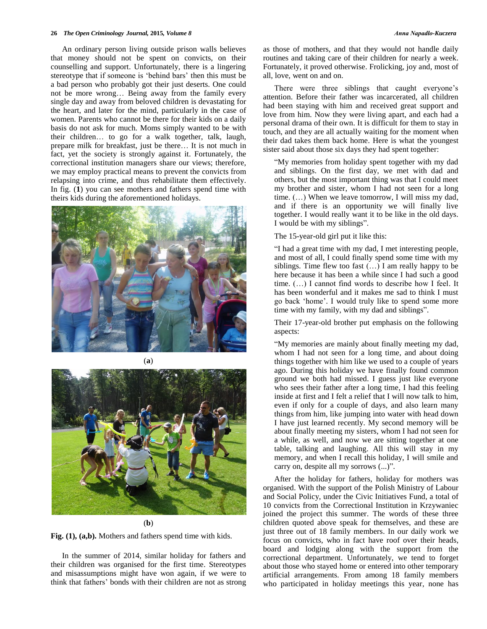An ordinary person living outside prison walls believes that money should not be spent on convicts, on their counselling and support. Unfortunately, there is a lingering stereotype that if someone is "behind bars" then this must be a bad person who probably got their just deserts. One could not be more wrong… Being away from the family every single day and away from beloved children is devastating for the heart, and later for the mind, particularly in the case of women. Parents who cannot be there for their kids on a daily basis do not ask for much. Moms simply wanted to be with their children… to go for a walk together, talk, laugh, prepare milk for breakfast, just be there… It is not much in fact, yet the society is strongly against it. Fortunately, the correctional institution managers share our views; therefore, we may employ practical means to prevent the convicts from relapsing into crime, and thus rehabilitate them effectively. In fig. (**1**) you can see mothers and fathers spend time with theirs kids during the aforementioned holidays.





#### (**b**)



In the summer of 2014, similar holiday for fathers and their children was organised for the first time. Stereotypes and misassumptions might have won again, if we were to think that fathers" bonds with their children are not as strong

as those of mothers, and that they would not handle daily routines and taking care of their children for nearly a week. Fortunately, it proved otherwise. Frolicking, joy and, most of all, love, went on and on.

There were three siblings that caught everyone's attention. Before their father was incarcerated, all children had been staying with him and received great support and love from him. Now they were living apart, and each had a personal drama of their own. It is difficult for them to stay in touch, and they are all actually waiting for the moment when their dad takes them back home. Here is what the youngest sister said about those six days they had spent together:

"My memories from holiday spent together with my dad and siblings. On the first day, we met with dad and others, but the most important thing was that I could meet my brother and sister, whom I had not seen for a long time. (…) When we leave tomorrow, I will miss my dad, and if there is an opportunity we will finally live together. I would really want it to be like in the old days. I would be with my siblings".

The 15-year-old girl put it like this:

"I had a great time with my dad, I met interesting people, and most of all, I could finally spend some time with my siblings. Time flew too fast (…) I am really happy to be here because it has been a while since I had such a good time. (…) I cannot find words to describe how I feel. It has been wonderful and it makes me sad to think I must go back "home". I would truly like to spend some more time with my family, with my dad and siblings".

Their 17-year-old brother put emphasis on the following aspects:

"My memories are mainly about finally meeting my dad, whom I had not seen for a long time, and about doing things together with him like we used to a couple of years ago. During this holiday we have finally found common ground we both had missed. I guess just like everyone who sees their father after a long time, I had this feeling inside at first and I felt a relief that I will now talk to him, even if only for a couple of days, and also learn many things from him, like jumping into water with head down I have just learned recently. My second memory will be about finally meeting my sisters, whom I had not seen for a while, as well, and now we are sitting together at one table, talking and laughing. All this will stay in my memory, and when I recall this holiday, I will smile and carry on, despite all my sorrows (...)".

After the holiday for fathers, holiday for mothers was organised. With the support of the Polish Ministry of Labour and Social Policy, under the Civic Initiatives Fund, a total of 10 convicts from the Correctional Institution in Krzywaniec joined the project this summer. The words of these three children quoted above speak for themselves, and these are just three out of 18 family members. In our daily work we focus on convicts, who in fact have roof over their heads, board and lodging along with the support from the correctional department. Unfortunately, we tend to forget about those who stayed home or entered into other temporary artificial arrangements. From among 18 family members who participated in holiday meetings this year, none has

(**a**)